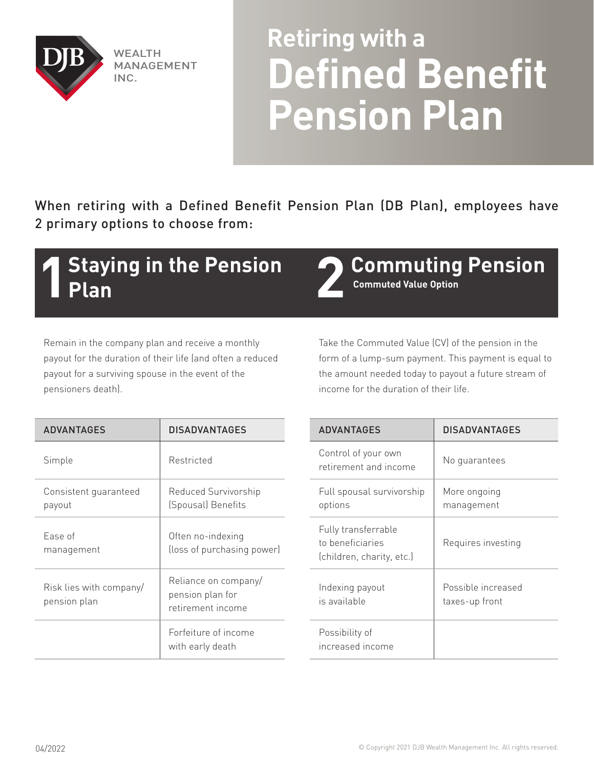

**WEALTH** MANAGEMENT INC.

## **Retiring with a Defined Benefit Pension Plan**

When retiring with a Defined Benefit Pension Plan (DB Plan), employees have 2 primary options to choose from:

## **1 Staying in the Pension 12 Commuting Pension Plan**

**Commuted Value Option**

Remain in the company plan and receive a monthly payout for the duration of their life (and often a reduced payout for a surviving spouse in the event of the pensioners death).

Take the Commuted Value (CV) of the pension in the form of a lump-sum payment. This payment is equal to the amount needed today to payout a future stream of income for the duration of their life.

| <b>ADVANTAGES</b>                       | <b>DISADVANTAGES</b>                                                                                                                                           |  | <b>ADVANTAGES</b>                                                    | <b>DISADVANTAGES</b>                 |
|-----------------------------------------|----------------------------------------------------------------------------------------------------------------------------------------------------------------|--|----------------------------------------------------------------------|--------------------------------------|
| Simple                                  | Restricted                                                                                                                                                     |  | Control of your own<br>retirement and income                         | No guarantees                        |
| Consistent guaranteed<br>payout         | Reduced Survivorship<br>(Spousal) Benefits<br>Often no-indexing<br>(loss of purchasing power)<br>Reliance on company/<br>pension plan for<br>retirement income |  | Full spousal survivorship<br>options                                 | More ongoing<br>management           |
| Ease of<br>management                   |                                                                                                                                                                |  | Fully transferrable<br>to beneficiaries<br>(children, charity, etc.) | Requires investing                   |
| Risk lies with company/<br>pension plan |                                                                                                                                                                |  | Indexing payout<br>is available                                      | Possible increased<br>taxes-up front |
|                                         | Forfeiture of income<br>with early death                                                                                                                       |  | Possibility of<br>increased income                                   |                                      |